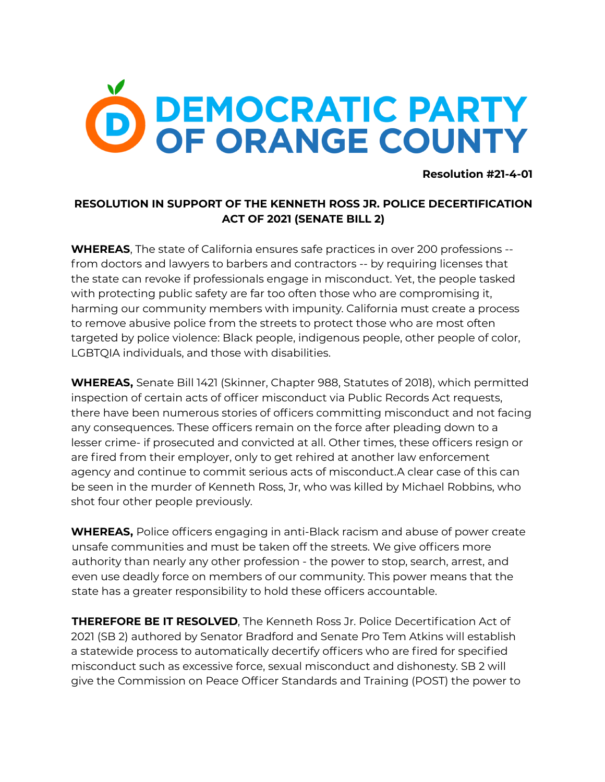## **DEMOCRATIC PARTY<br>OF ORANGE COUNTY**

**Resolution #21-4-01**

## **RESOLUTION IN SUPPORT OF THE KENNETH ROSS JR. POLICE DECERTIFICATION ACT OF 2021 (SENATE BILL 2)**

**WHEREAS**, The state of California ensures safe practices in over 200 professions - from doctors and lawyers to barbers and contractors -- by requiring licenses that the state can revoke if professionals engage in misconduct. Yet, the people tasked with protecting public safety are far too often those who are compromising it, harming our community members with impunity. California must create a process to remove abusive police from the streets to protect those who are most often targeted by police violence: Black people, indigenous people, other people of color, LGBTQIA individuals, and those with disabilities.

**WHEREAS,** Senate Bill 1421 (Skinner, Chapter 988, Statutes of 2018), which permitted inspection of certain acts of officer misconduct via Public Records Act requests, there have been numerous stories of officers committing misconduct and not facing any consequences. These officers remain on the force after pleading down to a lesser crime- if prosecuted and convicted at all. Other times, these officers resign or are fired from their employer, only to get rehired at another law enforcement agency and continue to commit serious acts of misconduct.A clear case of this can be seen in the murder of Kenneth Ross, Jr, who was killed by Michael Robbins, who shot four other people previously.

**WHEREAS,** Police officers engaging in anti-Black racism and abuse of power create unsafe communities and must be taken off the streets. We give officers more authority than nearly any other profession - the power to stop, search, arrest, and even use deadly force on members of our community. This power means that the state has a greater responsibility to hold these officers accountable.

**THEREFORE BE IT RESOLVED**, The Kenneth Ross Jr. Police Decertification Act of 2021 (SB 2) authored by Senator Bradford and Senate Pro Tem Atkins will establish a statewide process to automatically decertify officers who are fired for specified misconduct such as excessive force, sexual misconduct and dishonesty. SB 2 will give the Commission on Peace Officer Standards and Training (POST) the power to